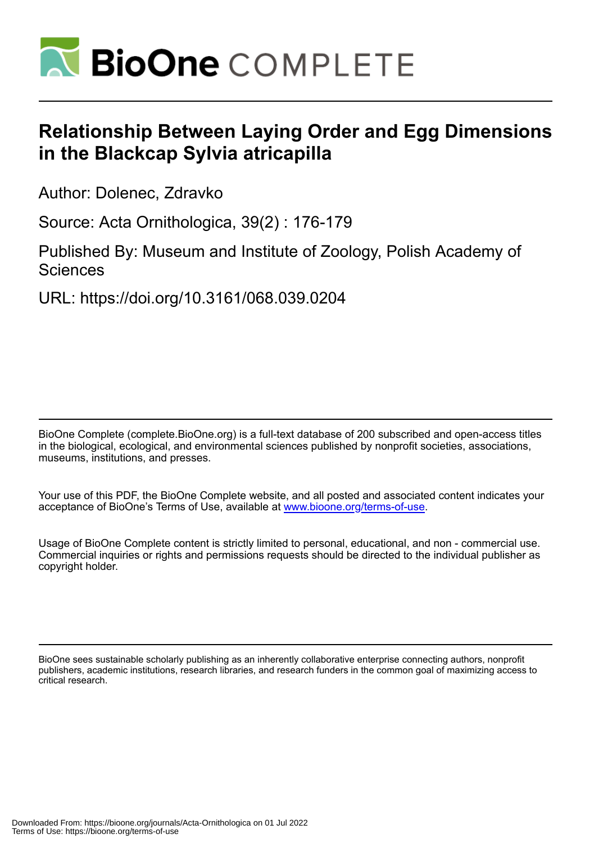

# **Relationship Between Laying Order and Egg Dimensions in the Blackcap Sylvia atricapilla**

Author: Dolenec, Zdravko

Source: Acta Ornithologica, 39(2) : 176-179

Published By: Museum and Institute of Zoology, Polish Academy of **Sciences** 

URL: https://doi.org/10.3161/068.039.0204

BioOne Complete (complete.BioOne.org) is a full-text database of 200 subscribed and open-access titles in the biological, ecological, and environmental sciences published by nonprofit societies, associations, museums, institutions, and presses.

Your use of this PDF, the BioOne Complete website, and all posted and associated content indicates your acceptance of BioOne's Terms of Use, available at www.bioone.org/terms-of-use.

Usage of BioOne Complete content is strictly limited to personal, educational, and non - commercial use. Commercial inquiries or rights and permissions requests should be directed to the individual publisher as copyright holder.

BioOne sees sustainable scholarly publishing as an inherently collaborative enterprise connecting authors, nonprofit publishers, academic institutions, research libraries, and research funders in the common goal of maximizing access to critical research.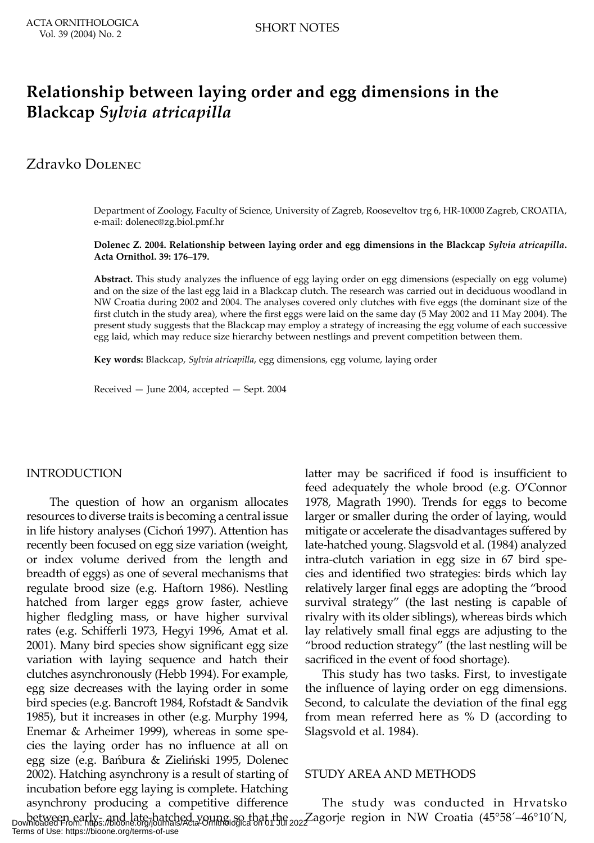## **Relationship between laying order and egg dimensions in the Blackcap** *Sylvia atricapilla*

### Zdravko DOLENEC

Department of Zoology, Faculty of Science, University of Zagreb, Rooseveltov trg 6, HR-10000 Zagreb, CROATIA, e-mail: dolenec@zg.biol.pmf.hr

**Dolenec Z. 2004. Relationship between laying order and egg dimensions in the Blackcap** *Sylvia atricapilla***. Acta Ornithol. 39: 176–179.**

**Abstract.** This study analyzes the influence of egg laying order on egg dimensions (especially on egg volume) and on the size of the last egg laid in a Blackcap clutch. The research was carried out in deciduous woodland in NW Croatia during 2002 and 2004. The analyses covered only clutches with five eggs (the dominant size of the first clutch in the study area), where the first eggs were laid on the same day (5 May 2002 and 11 May 2004). The present study suggests that the Blackcap may employ a strategy of increasing the egg volume of each successive egg laid, which may reduce size hierarchy between nestlings and prevent competition between them.

**Key words:** Blackcap, *Sylvia atricapilla*, egg dimensions, egg volume, laying order

Received — June 2004, accepted — Sept. 2004

#### INTRODUCTION

 The question of how an organism allocates resources to diverse traits is becoming a central issue in life history analyses (Cichoń 1997). Attention has recently been focused on egg size variation (weight, or index volume derived from the length and breadth of eggs) as one of several mechanisms that regulate brood size (e.g. Haftorn 1986). Nestling hatched from larger eggs grow faster, achieve higher fledgling mass, or have higher survival rates (e.g. Schifferli 1973, Hegyi 1996, Amat et al. 2001). Many bird species show significant egg size variation with laying sequence and hatch their clutches asynchronously (Hebb 1994). For example, egg size decreases with the laying order in some bird species (e.g. Bancroft 1984, Rofstadt & Sandvik 1985), but it increases in other (e.g. Murphy 1994, Enemar & Arheimer 1999), whereas in some species the laying order has no influence at all on egg size (e.g. Bańbura & Zieliński 1995, Dolenec 2002). Hatching asynchrony is a result of starting of incubation before egg laying is complete. Hatching asynchrony producing a competitive difference

latter may be sacrificed if food is insufficient to feed adequately the whole brood (e.g. O'Connor 1978, Magrath 1990). Trends for eggs to become larger or smaller during the order of laying, would mitigate or accelerate the disadvantages suffered by late-hatched young. Slagsvold et al. (1984) analyzed intra-clutch variation in egg size in 67 bird species and identified two strategies: birds which lay relatively larger final eggs are adopting the "brood survival strategy" (the last nesting is capable of rivalry with its older siblings), whereas birds which lay relatively small final eggs are adjusting to the "brood reduction strategy" (the last nestling will be sacrificed in the event of food shortage).

This study has two tasks. First, to investigate the influence of laying order on egg dimensions. Second, to calculate the deviation of the final egg from mean referred here as % D (according to Slagsvold et al. 1984).

#### STUDY AREA AND METHODS

between early- and late-hatched young so that the *2027* agorje region in NW Croatia (45°58´–46°10´N,<br>Downloaded From: https://bioone.org/journals/Acta-Ornithologica on 01 Jul 2027 agorje region in NW Croatia (45°58´–46°10 The study was conducted in Hrvatsko Terms of Use: https://bioone.org/terms-of-use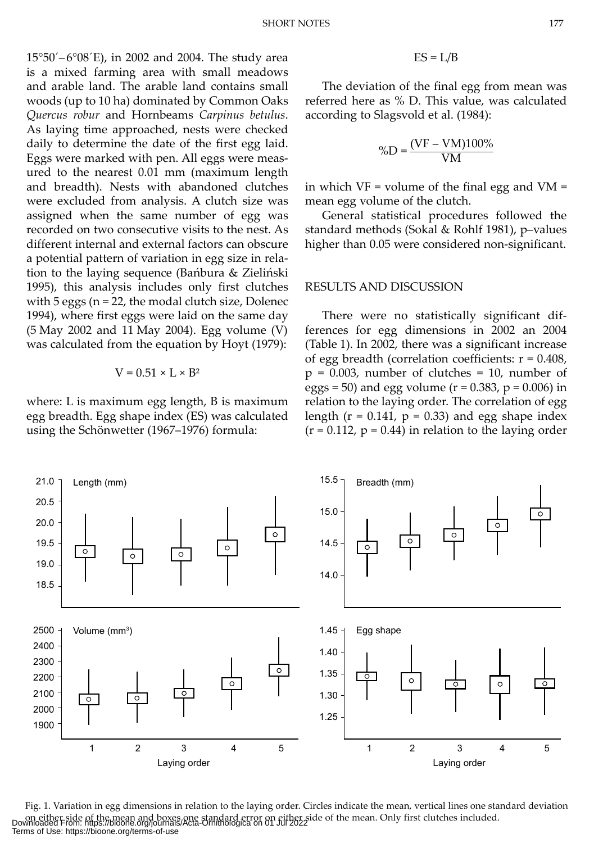15°50´– 6°08´E), in 2002 and 2004. The study area is a mixed farming area with small meadows and arable land. The arable land contains small woods (up to 10 ha) dominated by Common Oaks *Quercus robur* and Hornbeams *Carpinus betulus*. As laying time approached, nests were checked daily to determine the date of the first egg laid. Eggs were marked with pen. All eggs were measured to the nearest 0.01 mm (maximum length and breadth). Nests with abandoned clutches were excluded from analysis. A clutch size was assigned when the same number of egg was recorded on two consecutive visits to the nest. As different internal and external factors can obscure a potential pattern of variation in egg size in relation to the laying sequence (Bańbura & Zieliński 1995), this analysis includes only first clutches with 5 eggs (n = 22, the modal clutch size, Dolenec 1994), where first eggs were laid on the same day (5 May 2002 and 11 May 2004). Egg volume (V) was calculated from the equation by Hoyt (1979):

$$
V = 0.51 \times L \times B^2
$$

where: L is maximum egg length, B is maximum egg breadth. Egg shape index (ES) was calculated using the Schönwetter (1967–1976) formula:

$$
ES = L/B
$$

The deviation of the final egg from mean was referred here as % D. This value, was calculated according to Slagsvold et al. (1984):

$$
\%D = \frac{(VF - VM)100\%}{VM}
$$

in which  $VF = volume of the final egg and VM =$ mean egg volume of the clutch.

General statistical procedures followed the standard methods (Sokal & Rohlf 1981), p–values higher than 0.05 were considered non-significant.

#### RESULTS AND DISCUSSION

There were no statistically significant differences for egg dimensions in 2002 an 2004 (Table 1). In 2002, there was a significant increase of egg breadth (correlation coefficients:  $r = 0.408$ ,  $p = 0.003$ , number of clutches = 10, number of eggs = 50) and egg volume ( $r = 0.383$ ,  $p = 0.006$ ) in relation to the laying order. The correlation of egg length ( $r = 0.141$ ,  $p = 0.33$ ) and egg shape index  $(r = 0.112, p = 0.44)$  in relation to the laying order



Fig. 1. Variation in egg dimensions in relation to the laying order. Circles indicate the mean, vertical lines one standard deviation on either side of the mean and boxes one standard error on either side of the mean. Only first clutches included. Downloaded From: https://bioone.org/journals/Acta-Ornithologica on 01 Jul 2022 Terms of Use: https://bioone.org/terms-of-use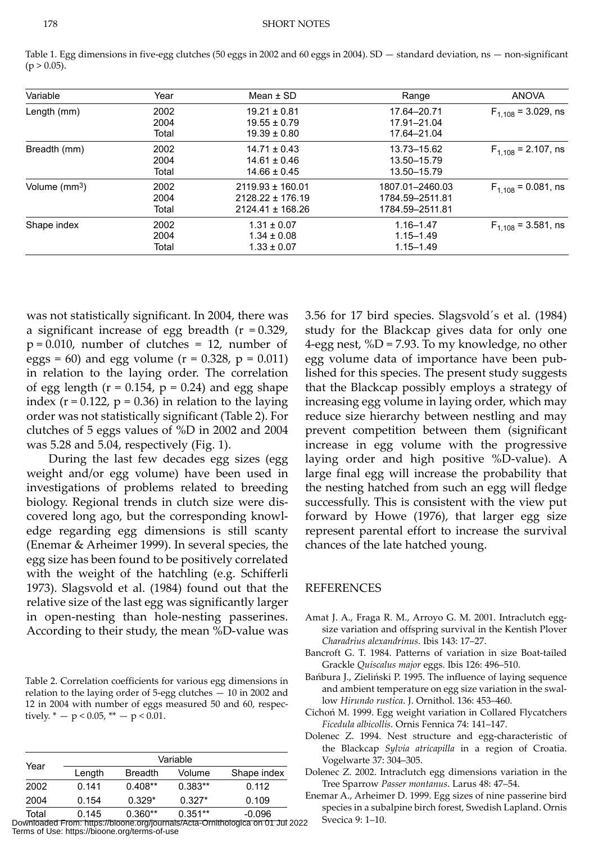| Variable                  | Year                  | Mean $\pm$ SD                                                        | Range                                                 | <b>ANOVA</b>             |
|---------------------------|-----------------------|----------------------------------------------------------------------|-------------------------------------------------------|--------------------------|
| Length (mm)               | 2002<br>2004<br>Total | $19.21 \pm 0.81$<br>$19.55 \pm 0.79$<br>$19.39 \pm 0.80$             | 17.64-20.71<br>17.91-21.04<br>17.64-21.04             | $F_{1,108}$ = 3.029, ns  |
| Breadth (mm)              | 2002<br>2004<br>Total | $14.71 \pm 0.43$<br>$14.61 \pm 0.46$<br>$14.66 \pm 0.45$             | 13.73-15.62<br>13.50-15.79<br>13.50-15.79             | $F_{1,108}$ = 2.107, ns  |
| Volume (mm <sup>3</sup> ) | 2002<br>2004<br>Total | $2119.93 \pm 160.01$<br>$2128.22 \pm 176.19$<br>$2124.41 \pm 168.26$ | 1807.01-2460.03<br>1784.59-2511.81<br>1784.59-2511.81 | $F_{1,108} = 0.081$ , ns |
| Shape index               | 2002<br>2004<br>Total | $1.31 \pm 0.07$<br>$1.34 \pm 0.08$<br>$1.33 \pm 0.07$                | $1.16 - 1.47$<br>$1.15 - 1.49$<br>$1.15 - 1.49$       | $F_{1,108}$ = 3.581, ns  |

Table 1. Egg dimensions in five-egg clutches (50 eggs in 2002 and 60 eggs in 2004). SD — standard deviation, ns — non-significant  $(p > 0.05)$ .

was not statistically significant. In 2004, there was a significant increase of egg breadth  $(r = 0.329)$ ,  $p = 0.010$ , number of clutches = 12, number of eggs = 60) and egg volume  $(r = 0.328, p = 0.011)$ in relation to the laying order. The correlation of egg length  $(r = 0.154, p = 0.24)$  and egg shape index ( $r = 0.122$ ,  $p = 0.36$ ) in relation to the laying order was not statistically significant (Table 2). For clutches of 5 eggs values of %D in 2002 and 2004 was 5.28 and 5.04, respectively (Fig. 1).

 During the last few decades egg sizes (egg weight and/or egg volume) have been used in investigations of problems related to breeding biology. Regional trends in clutch size were discovered long ago, but the corresponding knowledge regarding egg dimensions is still scanty (Enemar & Arheimer 1999). In several species, the egg size has been found to be positively correlated with the weight of the hatchling (e.g. Schifferli 1973). Slagsvold et al. (1984) found out that the relative size of the last egg was significantly larger in open-nesting than hole-nesting passerines. According to their study, the mean %D-value was

Table 2. Correlation coefficients for various egg dimensions in relation to the laying order of 5-egg clutches — 10 in 2002 and 12 in 2004 with number of eggs measured 50 and 60, respectively.  $* - p < 0.05$ ,  $** - p < 0.01$ .

| Year        | Variable |                |           |             |  |
|-------------|----------|----------------|-----------|-------------|--|
|             | Length   | <b>Breadth</b> | Volume    | Shape index |  |
| 2002        | 0 141    | $0.408**$      | $0.383**$ | 0.112       |  |
| 2004        | 0.154    | $0.329*$       | $0.327*$  | 0.109       |  |
| $T - 1 - 1$ | 0.44F    | $0.200**$      | $0.254**$ | n nnn       |  |

Total 0.145 0.360\*\* 0.351\*\* -0.096 Downloaded From: https://bioone.org/journals/Acta-Ornithologica on 01 Jul 2022 Terms of Use: https://bioone.org/terms-of-use

3.56 for 17 bird species. Slagsvold´s et al. (1984) study for the Blackcap gives data for only one 4-egg nest, %D = 7.93. To my knowledge, no other egg volume data of importance have been published for this species. The present study suggests that the Blackcap possibly employs a strategy of increasing egg volume in laying order, which may reduce size hierarchy between nestling and may prevent competition between them (significant increase in egg volume with the progressive laying order and high positive %D-value). A large final egg will increase the probability that the nesting hatched from such an egg will fledge successfully. This is consistent with the view put forward by Howe (1976), that larger egg size represent parental effort to increase the survival chances of the late hatched young.

#### **REFERENCES**

- Amat J. A., Fraga R. M., Arroyo G. M. 2001. Intraclutch eggsize variation and offspring survival in the Kentish Plover *Charadrius alexandrinus*. Ibis 143: 17–27.
- Bancroft G. T. 1984. Patterns of variation in size Boat-tailed Grackle *Quiscalus major* eggs. Ibis 126: 496–510.
- Bańbura J., Zieliński P. 1995. The influence of laying sequence and ambient temperature on egg size variation in the swallow *Hirundo rustica*. J. Ornithol. 136: 453–460.
- Cichoń M. 1999. Egg weight variation in Collared Flycatchers *Ficedula albicollis*. Ornis Fennica 74: 141–147.
- Dolenec Z. 1994. Nest structure and egg-characteristic of the Blackcap *Sylvia atricapilla* in a region of Croatia. Vogelwarte 37: 304–305.
- Dolenec Z. 2002. Intraclutch egg dimensions variation in the Tree Sparrow *Passer montanus*. Larus 48: 47–54.
- Enemar A., Arheimer D. 1999. Egg sizes of nine passerine bird species in a subalpine birch forest, Swedish Lapland. Ornis Svecica 9: 1–10.